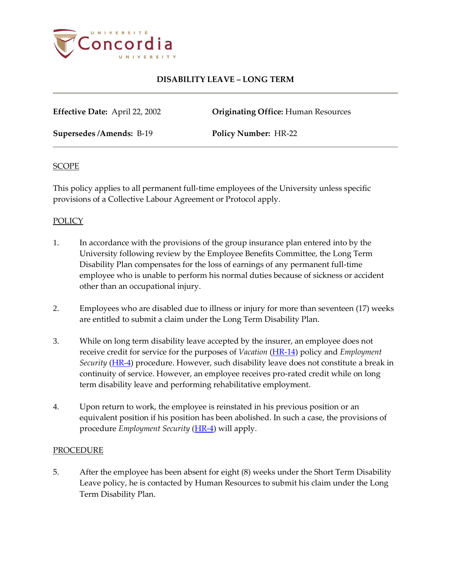

# **DISABILITY LEAVE – LONG TERM**

**Effective Date:** April 22, 2002 **Originating Office:** Human Resources

**Supersedes /Amends:** B-19 **Policy Number:** HR-22

### **SCOPE**

This policy applies to all permanent full-time employees of the University unless specific provisions of a Collective Labour Agreement or Protocol apply.

## **POLICY**

- 1. In accordance with the provisions of the group insurance plan entered into by the University following review by the Employee Benefits Committee, the Long Term Disability Plan compensates for the loss of earnings of any permanent full-time employee who is unable to perform his normal duties because of sickness or accident other than an occupational injury.
- 2. Employees who are disabled due to illness or injury for more than seventeen (17) weeks are entitled to submit a claim under the Long Term Disability Plan.
- 3. While on long term disability leave accepted by the insurer, an employee does not receive credit for service for the purposes of *Vacation* [\(HR-14\)](http://www.concordia.ca/vpirsg/documents/policies/HR-14.pdf) policy and *Employment Security* [\(HR-4\)](http://www.concordia.ca/vpirsg/documents/policies/HR-4.pdf) procedure. However, such disability leave does not constitute a break in continuity of service. However, an employee receives pro-rated credit while on long term disability leave and performing rehabilitative employment.
- 4. Upon return to work, the employee is reinstated in his previous position or an equivalent position if his position has been abolished. In such a case, the provisions of procedure *Employment Security* [\(HR-4\)](http://www.concordia.ca/vpirsg/documents/policies/HR-4.pdf) will apply.

#### PROCEDURE

5. After the employee has been absent for eight (8) weeks under the Short Term Disability Leave policy, he is contacted by Human Resources to submit his claim under the Long Term Disability Plan.